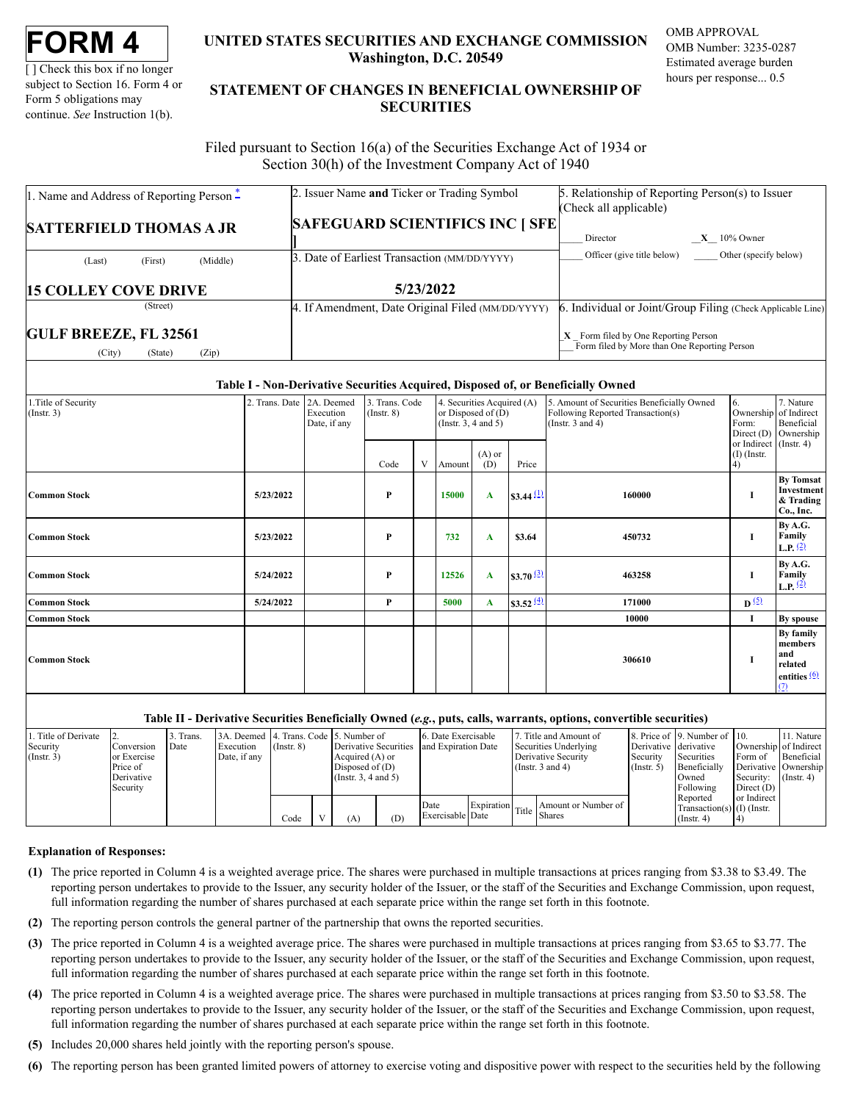[ ] Check this box if no longer subject to Section 16. Form 4 or Form 5 obligations may continue. *See* Instruction 1(b).

# **UNITED STATES SECURITIES AND EXCHANGE COMMISSION Washington, D.C. 20549**

OMB APPROVAL OMB Number: 3235-0287 Estimated average burden hours per response... 0.5

# **STATEMENT OF CHANGES IN BENEFICIAL OWNERSHIP OF SECURITIES**

Filed pursuant to Section 16(a) of the Securities Exchange Act of 1934 or Section 30(h) of the Investment Company Act of 1940

| 1. Name and Address of Reporting Person $\ddot{=}$         | 2. Issuer Name and Ticker or Trading Symbol       | 5. Relationship of Reporting Person(s) to Issuer<br>(Check all applicable)             |
|------------------------------------------------------------|---------------------------------------------------|----------------------------------------------------------------------------------------|
| <b>SATTERFIELD THOMAS A JR</b>                             | <b>SAFEGUARD SCIENTIFICS INC   SFE</b>            | $X = 10\%$ Owner<br>Director                                                           |
| (Middle)<br>(First)<br>(Last)                              | 3. Date of Earliest Transaction (MM/DD/YYYY)      | Officer (give title below)<br>Other (specify below)                                    |
| <b>15 COLLEY COVE DRIVE</b>                                | 5/23/2022                                         |                                                                                        |
| (Street)                                                   | 4. If Amendment, Date Original Filed (MM/DD/YYYY) | 6. Individual or Joint/Group Filing (Check Applicable Line)                            |
| <b>GULF BREEZE, FL 32561</b><br>(City)<br>(Zip)<br>(State) |                                                   | $X$ Form filed by One Reporting Person<br>Form filed by More than One Reporting Person |

#### **Table I - Non-Derivative Securities Acquired, Disposed of, or Beneficially Owned**

| 1. Title of Security<br>$($ Instr. 3 $)$ | 2. Trans. Date 2A. Deemed | Execution<br>Date, if any | 3. Trans. Code<br>$($ Instr. $8)$ |   | 4. Securities Acquired (A)<br>or Disposed of $(D)$<br>(Instr. $3, 4$ and $5$ ) |                 |                        | 5. Amount of Securities Beneficially Owned<br>Following Reported Transaction(s)<br>(Instr. $3$ and $4$ ) | 6.<br>Form:<br>Direct (D)<br>or Indirect (Instr. 4) | 7. Nature<br>Ownership of Indirect<br>Beneficial<br>Ownership             |
|------------------------------------------|---------------------------|---------------------------|-----------------------------------|---|--------------------------------------------------------------------------------|-----------------|------------------------|----------------------------------------------------------------------------------------------------------|-----------------------------------------------------|---------------------------------------------------------------------------|
|                                          |                           |                           | Code                              | V | Amount                                                                         | $(A)$ or<br>(D) | Price                  |                                                                                                          | $(I)$ (Instr.<br>(4)                                |                                                                           |
| <b>Common Stock</b>                      | 5/23/2022                 |                           | P                                 |   | 15000                                                                          | A               | $$3.44 \, (1)$         | 160000                                                                                                   | 1                                                   | <b>By Tomsat</b><br>Investment<br>& Trading<br>Co., Inc.                  |
| <b>Common Stock</b>                      | 5/23/2022                 |                           | P                                 |   | 732                                                                            | A               | \$3.64                 | 450732                                                                                                   | Ι.                                                  | By A.G.<br>Family<br><b>L.P.</b> $(2)$                                    |
| Common Stock                             | 5/24/2022                 |                           | P                                 |   | 12526                                                                          | A               | $$3.70^{(3)}$          | 463258                                                                                                   | н                                                   | By A.G.<br>Family<br><b>L.P.</b> $(2)$                                    |
| <b>Common Stock</b>                      | 5/24/2022                 |                           | P                                 |   | 5000                                                                           | A               | \$3.52 $\frac{(4)}{2}$ | 171000                                                                                                   | $\mathbf{D}^{(5)}$                                  |                                                                           |
| <b>Common Stock</b>                      |                           |                           |                                   |   |                                                                                |                 |                        | 10000                                                                                                    | Ι.                                                  | By spouse                                                                 |
| <b>Common Stock</b>                      |                           |                           |                                   |   |                                                                                |                 |                        | 306610                                                                                                   | 1                                                   | By family<br>members<br>and<br>related<br>entities $\frac{(6)}{2}$<br>(7) |

#### **Table II - Derivative Securities Beneficially Owned (***e.g.***, puts, calls, warrants, options, convertible securities)**

| 1. Title of Derivate |              | 3. Trans. | 3A. Deemed 4. Trans. Code 5. Number of |                 |                       |     | 6. Date Exercisable |  | Title and Amount of                            |                       | 8. Price of 9. Number of 10. |                       | 11. Nature       |
|----------------------|--------------|-----------|----------------------------------------|-----------------|-----------------------|-----|---------------------|--|------------------------------------------------|-----------------------|------------------------------|-----------------------|------------------|
| Security             | Conversion   | Date      | Execution                              | $($ Instr. $8)$ | Derivative Securities |     | and Expiration Date |  | Securities Underlying                          | Derivative derivative |                              | Ownership of Indirect |                  |
| $($ Instr. 3)        | lor Exercise |           | Date, if any                           |                 | Acquired (A) or       |     |                     |  | Derivative Security                            | Security              | Securities                   | Form of               | Beneficial       |
|                      | Price of     |           |                                        |                 | Disposed of $(D)$     |     |                     |  | (Instr. $3$ and $4$ )                          | $($ Instr. 5 $)$      | Beneficially                 | Derivative Ownership  |                  |
|                      | Derivative   |           |                                        |                 | (Insert. 3, 4 and 5)  |     |                     |  |                                                |                       | Owned                        | Security:             | $($ Instr. 4 $)$ |
|                      | Security     |           |                                        |                 |                       |     |                     |  |                                                |                       | Following                    | Direct (D)            |                  |
|                      |              |           |                                        |                 |                       |     |                     |  |                                                |                       | Reported                     | or Indirect           |                  |
|                      |              |           |                                        |                 |                       |     | Date                |  | Amount or Number of<br>Expiration Title Shares |                       | $Transaction(s)$ (I) (Instr. |                       |                  |
|                      |              |           |                                        | Code            | (A)                   | (D) | Exercisable Date    |  |                                                |                       | $($ Instr. 4 $)$             |                       |                  |

#### **Explanation of Responses:**

- <span id="page-0-0"></span>**(1)** The price reported in Column 4 is a weighted average price. The shares were purchased in multiple transactions at prices ranging from \$3.38 to \$3.49. The reporting person undertakes to provide to the Issuer, any security holder of the Issuer, or the staff of the Securities and Exchange Commission, upon request, full information regarding the number of shares purchased at each separate price within the range set forth in this footnote.
- <span id="page-0-1"></span>**(2)** The reporting person controls the general partner of the partnership that owns the reported securities.
- <span id="page-0-2"></span>**(3)** The price reported in Column 4 is a weighted average price. The shares were purchased in multiple transactions at prices ranging from \$3.65 to \$3.77. The reporting person undertakes to provide to the Issuer, any security holder of the Issuer, or the staff of the Securities and Exchange Commission, upon request, full information regarding the number of shares purchased at each separate price within the range set forth in this footnote.
- <span id="page-0-3"></span>**(4)** The price reported in Column 4 is a weighted average price. The shares were purchased in multiple transactions at prices ranging from \$3.50 to \$3.58. The reporting person undertakes to provide to the Issuer, any security holder of the Issuer, or the staff of the Securities and Exchange Commission, upon request, full information regarding the number of shares purchased at each separate price within the range set forth in this footnote.
- <span id="page-0-4"></span>**(5)** Includes 20,000 shares held jointly with the reporting person's spouse.
- <span id="page-0-5"></span>**(6)** The reporting person has been granted limited powers of attorney to exercise voting and dispositive power with respect to the securities held by the following